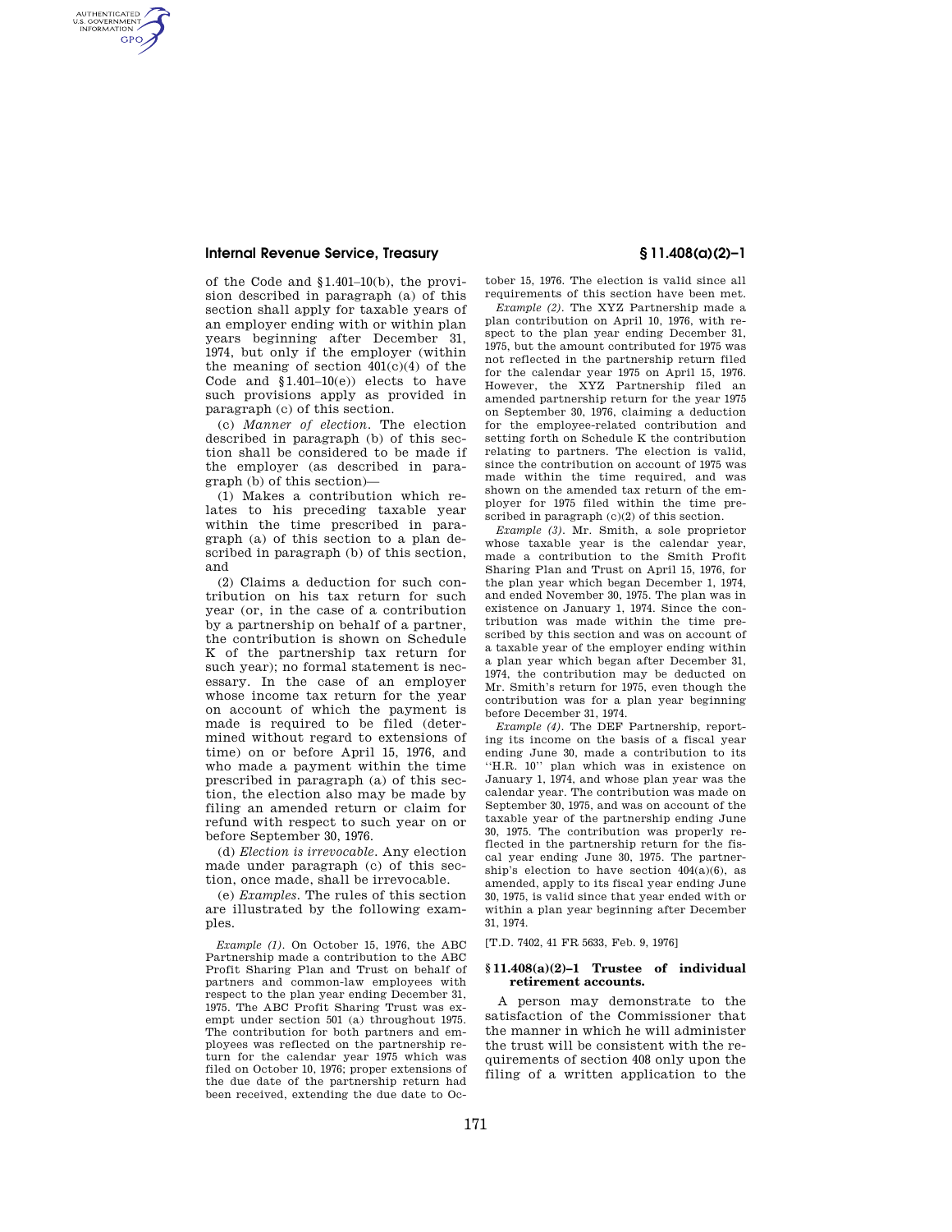### **Internal Revenue Service, Treasury § 11.408(a)(2)–1**

AUTHENTICATED<br>U.S. GOVERNMENT<br>INFORMATION **GPO** 

> of the Code and §1.401–10(b), the provision described in paragraph (a) of this section shall apply for taxable years of an employer ending with or within plan years beginning after December 31, 1974, but only if the employer (within the meaning of section  $401(c)(4)$  of the Code and  $$1.401-10(e)$  elects to have such provisions apply as provided in paragraph (c) of this section.

> (c) *Manner of election.* The election described in paragraph (b) of this section shall be considered to be made if the employer (as described in paragraph (b) of this section)—

> (1) Makes a contribution which relates to his preceding taxable year within the time prescribed in paragraph (a) of this section to a plan described in paragraph (b) of this section, and

> (2) Claims a deduction for such contribution on his tax return for such year (or, in the case of a contribution by a partnership on behalf of a partner, the contribution is shown on Schedule K of the partnership tax return for such year); no formal statement is necessary. In the case of an employer whose income tax return for the year on account of which the payment is made is required to be filed (determined without regard to extensions of time) on or before April 15, 1976, and who made a payment within the time prescribed in paragraph (a) of this section, the election also may be made by filing an amended return or claim for refund with respect to such year on or before September 30, 1976.

(d) *Election is irrevocable.* Any election made under paragraph (c) of this section, once made, shall be irrevocable.

(e) *Examples.* The rules of this section are illustrated by the following examples.

*Example (1).* On October 15, 1976, the ABC Partnership made a contribution to the ABC Profit Sharing Plan and Trust on behalf of partners and common-law employees with respect to the plan year ending December 31, 1975. The ABC Profit Sharing Trust was exempt under section 501 (a) throughout 1975. The contribution for both partners and employees was reflected on the partnership return for the calendar year 1975 which was filed on October 10, 1976; proper extensions of the due date of the partnership return had been received, extending the due date to Oc-

tober 15, 1976. The election is valid since all requirements of this section have been met.

*Example (2).* The XYZ Partnership made a plan contribution on April 10, 1976, with respect to the plan year ending December 31, 1975, but the amount contributed for 1975 was not reflected in the partnership return filed for the calendar year 1975 on April 15, 1976. However, the XYZ Partnership filed an amended partnership return for the year 1975 on September 30, 1976, claiming a deduction for the employee-related contribution and setting forth on Schedule K the contribution relating to partners. The election is valid, since the contribution on account of 1975 was made within the time required, and was shown on the amended tax return of the employer for 1975 filed within the time prescribed in paragraph  $(c)(2)$  of this section.

*Example (3).* Mr. Smith, a sole proprietor whose taxable year is the calendar year, made a contribution to the Smith Profit Sharing Plan and Trust on April 15, 1976, for the plan year which began December 1, 1974, and ended November 30, 1975. The plan was in existence on January 1, 1974. Since the contribution was made within the time prescribed by this section and was on account of a taxable year of the employer ending within a plan year which began after December 31, 1974, the contribution may be deducted on Mr. Smith's return for 1975, even though the contribution was for a plan year beginning before December 31, 1974.

*Example (4).* The DEF Partnership, reporting its income on the basis of a fiscal year ending June 30, made a contribution to its ''H.R. 10'' plan which was in existence on January 1, 1974, and whose plan year was the calendar year. The contribution was made on September 30, 1975, and was on account of the taxable year of the partnership ending June 30, 1975. The contribution was properly reflected in the partnership return for the fiscal year ending June 30, 1975. The partnership's election to have section  $404(a)(6)$ , as amended, apply to its fiscal year ending June 30, 1975, is valid since that year ended with or within a plan year beginning after December 31, 1974.

[T.D. 7402, 41 FR 5633, Feb. 9, 1976]

#### **§ 11.408(a)(2)–1 Trustee of individual retirement accounts.**

A person may demonstrate to the satisfaction of the Commissioner that the manner in which he will administer the trust will be consistent with the requirements of section 408 only upon the filing of a written application to the